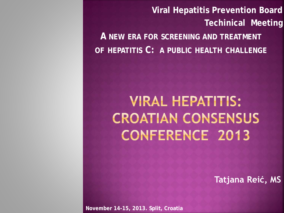**Viral Hepatitis Prevention Board Techinical Meeting A NEW ERA FOR SCREENING AND TREATMENT OF HEPATITIS C: A PUBLIC HEALTH CHALLENGE**

**VIRAL HEPATITIS: CROATIAN CONSENSUS CONFERENCE 2013** 

**Tatjana Reić, MS**

**November 14-15, 2013. Split, Croatia**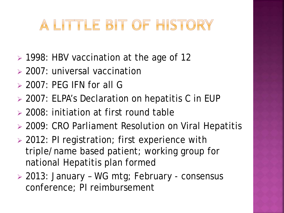# A LITTLE BIT OF HISTORY

- 1998: HBV vaccination at the age of 12
- 2007: universal vaccination
- $>$  2007: PEG IFN for all G
- 2007: ELPA's Declaration on hepatitis C in EUP
- 2008: initiation at first round table
- 2009: CRO Parliament Resolution on Viral Hepatitis
- ▶ 2012: PI registration; first experience with triple/name based patient; working group for national Hepatitis plan formed
- 2013: January WG mtg; February consensus conference; PI reimbursement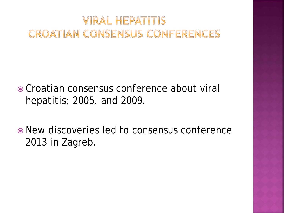# *VIRAL HEPATITIS* **CROATIAN CONSENSUS CONFERENCES**

- Croatian consensus conference about viral hepatitis; 2005. and 2009.
- New discoveries led to consensus conference 2013 in Zagreb.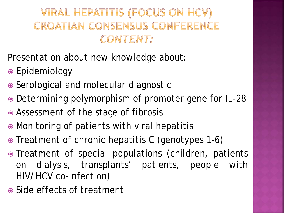# VIRAL HEPATITIS (FOCUS ON HCV) CROATIAN CONSENSUS CONFERENCE CONTENT:

Presentation about new knowledge about:

- Epidemiology
- Serological and molecular diagnostic
- Determining polymorphism of promoter gene for IL-28
- Assessment of the stage of fibrosis
- Monitoring of patients with viral hepatitis
- Treatment of chronic hepatitis C (genotypes 1-6)
- Treatment of special populations (children, patients on dialysis, transplants' patients, people with HIV/HCV co-infection)
- Side effects of treatment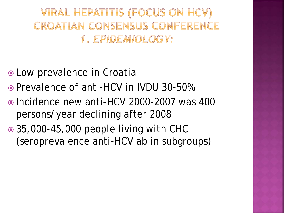VIRAL HEPATITIS (FOCUS ON HCV) CROATIAN CONSENSUS CONFERENCE 1. EPIDEMIOLOGY:

- Low prevalence in Croatia
- Prevalence of anti-HCV in IVDU 30-50%
- Incidence new anti-HCV 2000-2007 was 400 persons/year declining after 2008
- 35,000-45,000 people living with CHC (seroprevalence anti-HCV ab in subgroups)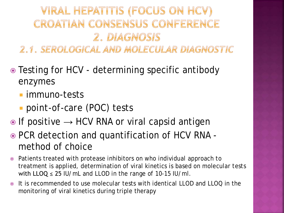# VIRAL HEPATITIS (FOCUS ON HCV) CROATIAN CONSENSUS CONFERENCE 2. DIAGNOSIS

2.1. SEROLOGICAL AND MOLECULAR DIAGNOSTIC

- Testing for HCV determining specific antibody enzymes
	- **Immuno-tests**
	- *point-of-care (POC)* tests
- If positive *→* HCV RNA or viral capsid antigen
- PCR detection and quantification of HCV RNA method of choice
- Patients treated with protease inhibitors on who individual approach to treatment is applied, determination of viral kinetics is based on molecular tests with  $LLOQ \le 25$  IU/mL and LLOD in the range of 10-15 IU/ml.
- It is recommended to use molecular tests with identical LLOD and LLOQ in the monitoring of viral kinetics during triple therapy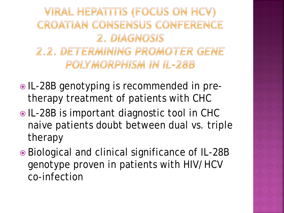VIRAL HEPATITIS (FOCUS ON HCV) CROATIAN CONSENSUS CONFERENCE 2. DIAGNOSIS 2.2. DETERMINING PROMOTER GENE POLYMORPHISM IN IL-28B

- $\bullet$  IL-28B genotyping is recommended in pretherapy treatment of patients with CHC
- IL-28B is important diagnostic tool in CHC naive patients doubt between dual vs. triple therapy
- Biological and clinical significance of IL-28B genotype proven in patients with HIV/HCV co-infection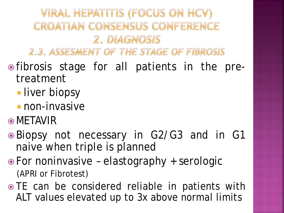VIRAL HEPATITIS (FOCUS ON HCV) CROATIAN CONSENSUS CONFERENCE 2. DIAGNOSIS

2.3. ASSESMENT OF THE STAGE OF FIBROSIS

- fibrosis stage for all patients in the pretreatment
	- **I**liver biopsy
	- non-invasive
- **O**METAVIR
- Biopsy not necessary in G2/G3 and in G1 naive when triple is planned
- For noninvasive elastography + serologic (APRI or Fibrotest)
- TE can be considered reliable in patients with ALT values elevated up to 3x above normal limits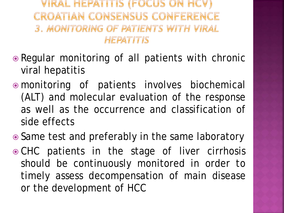VIRAL HEPATITIS (FOCUS ON HCV) CROATIAN CONSENSUS CONFERENCE 3. MONITORING OF PATIENTS WITH VIRAL HEPATITIS

- Regular monitoring of all patients with chronic viral hepatitis
- monitoring of patients involves biochemical (ALT) and molecular evaluation of the response as well as the occurrence and classification of side effects
- Same test and preferably in the same laboratory
- CHC patients in the stage of liver cirrhosis should be continuously monitored in order to timely assess decompensation of main disease or the development of HCC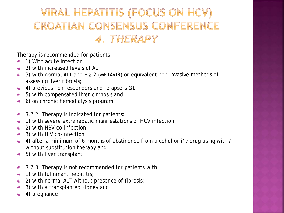# VIRAL HEPATITIS (FOCUS ON HCV) CROATIAN CONSENSUS CONFERENCE 4. THERAPY

Therapy is recommended for patients

- 1) With acute infection
- 2) with increased levels of ALT
- $\odot$  3) with normal ALT and F  $\geq$  2 (METAVIR) or equivalent non-invasive methods of assessing liver fibrosis;
- 4) previous non responders and relapsers G1
- 5) with compensated liver cirrhosis and
- 6) on chronic hemodialysis program
- 3.2.2. Therapy is indicated for patients:
- 1) with severe extrahepatic manifestations of HCV infection
- 2) with HBV co-infection
- 3) with HIV co-infection
- 4) after a minimum of 6 months of abstinence from alcohol or i/v drug using with / without substitution therapy and
- 5) with liver transplant
- 3.2.3. Therapy is not recommended for patients with
- 1) with fulminant hepatitis;
- 2) with normal ALT without presence of fibrosis;
- 3) with a transplanted kidney and
- 4) pregnance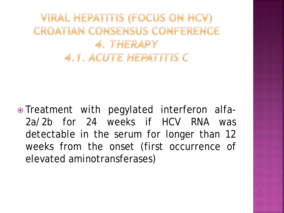VIRAL HEPATITIS (FOCUS ON HCV) CROATIAN CONSENSUS CONFERENCE 4. THERAPY 4.1. ACUTE HEPATITIS C

 Treatment with pegylated interferon alfa-2a/2b for 24 weeks if HCV RNA was detectable in the serum for longer than 12 weeks from the onset (first occurrence of elevated aminotransferases)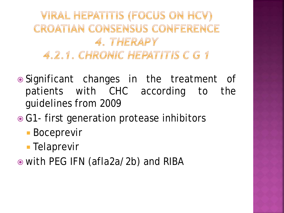

- Significant changes in the treatment of patients with CHC according to the guidelines from 2009
- **G1- first generation protease inhibitors** 
	- Boceprevir
	- **Telaprevir**
- with PEG IFN (afla2a/2b) and RIBA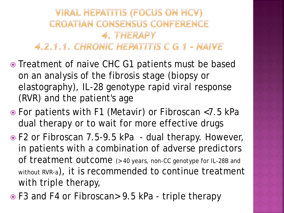#### VIRAL HEPATITIS (FOCUS ON HCV) **CROATIAN CONSENSUS CONFERENCE** 4. THERAPY 4.2.1.1. CHRONIC HEPATITIS C G 1 - NAIVE

- Treatment of naive CHC G1 patients must be based on an analysis of the fibrosis stage (biopsy or elastography), IL-28 genotype rapid viral response (RVR) and the patient's age
- For patients with F1 (Metavir) or Fibroscan <7.5 kPa dual therapy or to wait for more effective drugs
- F2 or Fibroscan 7.5-9.5 kPa dual therapy. However, in patients with a combination of adverse predictors of treatment outcome (> 40 years, non-CC genotype for IL-28B and without RVR-a), it is recommended to continue treatment with triple therapy,
- F3 and F4 or Fibroscan> 9.5 kPa triple therapy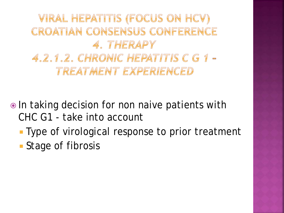VIRAL HEPATITIS (FOCUS ON HCV) CROATIAN CONSENSUS CONFERENCE 4. THERAPY 4.2.1.2. CHRONIC HEPATITIS C G 1 -TREATMENT EXPERIENCED

**■** In taking decision for non naive patients with CHC G1 - take into account

**Type of virological response to prior treatment** 

**Stage of fibrosis**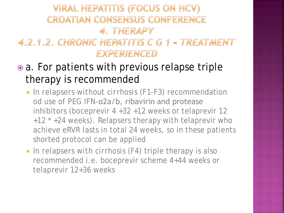## **VIRAL HEPATITIS (FOCUS ON HCV) CROATIAN CONSENSUS CONFERENCE** 4. THERAPY 4.2.1.2. CHRONIC HEPATITIS C G 1 - TREATMENT EXPERIENCED

- a. For patients with previous relapse triple therapy is recommended
	- In *relapsers without cirrhosis* (F1-F3) recommendation od use of PEG IFN-α2a/b, ribavirin and protease inhibitors (boceprevir 4 +32 +12 weeks or telaprevir 12 +12 \* +24 weeks). Relapsers therapy with telaprevir who achieve eRVR lasts in total 24 weeks, so in these patients shorted protocol can be applied
	- In *relapsers with cirrhosis* (F4) triple therapy is also recommended i.e. boceprevir scheme 4+44 weeks or telaprevir 12+36 weeks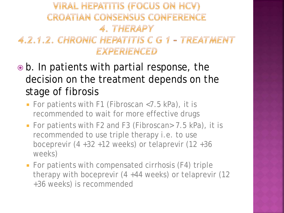## **VIRAL HEPATITIS (FOCUS ON HCV) CROATIAN CONSENSUS CONFERENCE** 4. THERAPY 4.2.1.2. CHRONIC HEPATITIS C G 1 - TREATMENT EXPERIENCED

- b. In patients with partial response, the decision on the treatment depends on the stage of fibrosis
	- **For patients with F1 (Fibroscan <7.5 kPa), it is** recommended to wait for more effective drugs
	- For patients with F2 and F3 (Fibroscan> 7.5 kPa), it is recommended to use triple therapy i.e. to use boceprevir  $(4 +32 +12$  weeks) or telaprevir  $(12 +36$ weeks)
	- **For patients with compensated cirrhosis (F4) triple** therapy with boceprevir (4 +44 weeks) or telaprevir (12 +36 weeks) is recommended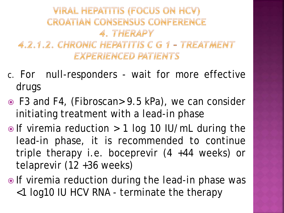### **VIRAL HEPATITIS (FOCUS ON HCV) CROATIAN CONSENSUS CONFERENCE** 4. THERAPY 4.2.1.2. CHRONIC HEPATITIS C G 1 - TREATMENT **EXPERIENCED PATIENTS**

- c. For null-responders wait for more effective drugs
- F3 and F4, (Fibroscan> 9.5 kPa), we can consider initiating treatment with a *lead-in phase*
- If viremia reduction > 1 log 10 IU/mL during *the lead-in phase*, it is recommended to continue triple therapy i.e. boceprevir (4 +44 weeks) or telaprevir (12 +36 weeks)
- If viremia reduction during *the lead-in phase* was <1 log10 IU HCV RNA - terminate the therapy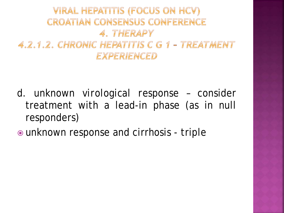

- d. *unknown virological response* consider treatment with a lead-in phase (as in null responders)
- unknown response and cirrhosis triple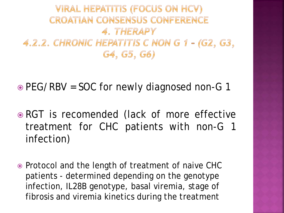## **VIRAL HEPATITIS (FOCUS ON HCV) CROATIAN CONSENSUS CONFERENCE** 4. THERAPY 4.2.2. CHRONIC HEPATITIS C NON G 1 - (G2, G3, G4, G5, G6)

• PEG/RBV = SOC for newly diagnosed non-G 1

- RGT is recomended (lack of more effective treatment for CHC patients with non-G 1 infection)
- Protocol and the length of treatment of naive CHC patients - determined depending on the genotype infection, IL28B genotype, basal viremia, stage of fibrosis and viremia kinetics during the treatment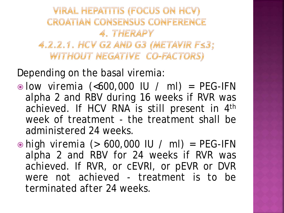**VIRAL HEPATITIS (FOCUS ON HCV) CROATIAN CONSENSUS CONFERENCE** 4. THERAPY 4.2.2.1. HCV G2 AND G3 (METAVIR FS3; WITHOUT NEGATIVE CO-FACTORS)

Depending on the basal viremia:

- *low viremia* (<600,000 IU / ml) = PEG-IFN alpha 2 and RBV during 16 weeks if RVR was achieved. If HCV RNA is still present in 4th week of treatment - the treatment shall be administered 24 weeks.
- *high viremia* (> 600,000 IU / ml) = PEG-IFN alpha 2 and RBV for 24 weeks if RVR was achieved. If RVR, or cEVRI, or pEVR or DVR were not achieved - treatment is to be terminated after 24 weeks.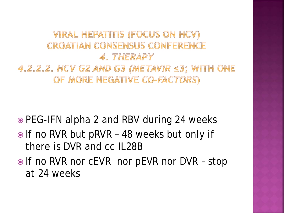VIRAL HEPATITIS (FOCUS ON HCV) **CROATIAN CONSENSUS CONFERENCE** 4. THERAPY  $4.2.2.2$ . HCV G2 AND G3 (METAVIR  $\leq$ 3; WITH ONE OF MORE NEGATIVE CO-FACTORS)

**■ PEG-IFN alpha 2 and RBV during 24 weeks** 

- If no RVR but pRVR 48 weeks but only if there is DVR and cc IL28B
- **If no RVR nor cEVR nor pEVR nor DVR stop** at 24 weeks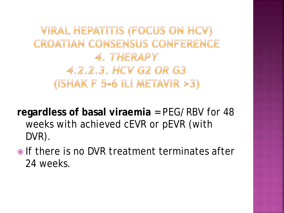VIRAL HEPATITIS (FOCUS ON HCV) **CROATIAN CONSENSUS CONFERENCE** 4. THERAPY 4.2.2.3. HCV G2 OR G3 (ISHAK F 5-6 ILI METAVIR > 3)

**regardless of basal viraemia** = PEG/RBV for 48 weeks with achieved cEVR or pEVR (with DVR).

• If there is no DVR treatment terminates after 24 weeks.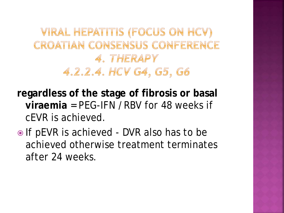VIRAL HEPATITIS (FOCUS ON HCV) CROATIAN CONSENSUS CONFERENCE 4. THERAPY 4.2.2.4. HCV G4, G5, G6

**regardless of the stage of fibrosis or basal viraemia** = PEG-IFN /RBV for 48 weeks if cEVR is achieved.

• If pEVR is achieved - DVR also has to be achieved otherwise treatment terminates after 24 weeks.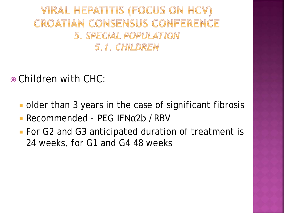VIRAL HEPATITIS (FOCUS ON HCV) CROATIAN CONSENSUS CONFERENCE 5. SPECIAL POPULATION 5.1. CHILDREN

Children with CHC:

- older than 3 years in the case of significant fibrosis
- Recommended PEG IFNα2b /RBV
- For G2 and G3 anticipated duration of treatment is 24 weeks, for G1 and G4 48 weeks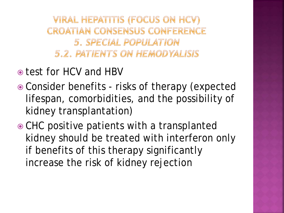**VIRAL HEPATITIS (FOCUS ON HCV) CROATIAN CONSENSUS CONFERENCE** 5. SPECIAL POPULATION **5.2. PATIENTS ON HEMODYALISIS** 

- $\bullet$  test for HCV and HBV
- Consider benefits risks of therapy (expected lifespan, comorbidities, and the possibility of kidney transplantation)
- CHC positive patients with a transplanted kidney should be treated with interferon only if benefits of this therapy significantly increase the risk of kidney rejection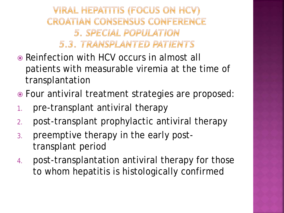**VIRAL HEPATITIS (FOCUS ON HCV) CROATIAN CONSENSUS CONFERENCE** 5. SPECIAL POPULATION 5.3. TRANSPLANTED PATIENTS

- Reinfection with HCV occurs in almost all patients with measurable viremia at the time of transplantation
- Four antiviral treatment strategies are proposed:
- 1. pre-transplant antiviral therapy
- 2. post-transplant prophylactic antiviral therapy
- 3. preemptive therapy in the early posttransplant period
- 4. post-transplantation antiviral therapy for those to whom hepatitis is histologically confirmed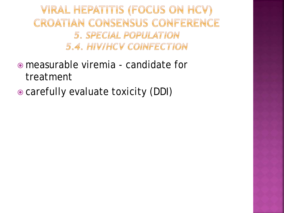VIRAL HEPATITIS (FOCUS ON HCV) **CROATIAN CONSENSUS CONFERENCE** 5. SPECIAL POPULATION 5.4. HIVIHCV COINFECTION

- measurable viremia candidate for treatment
- carefully evaluate toxicity (DDI)